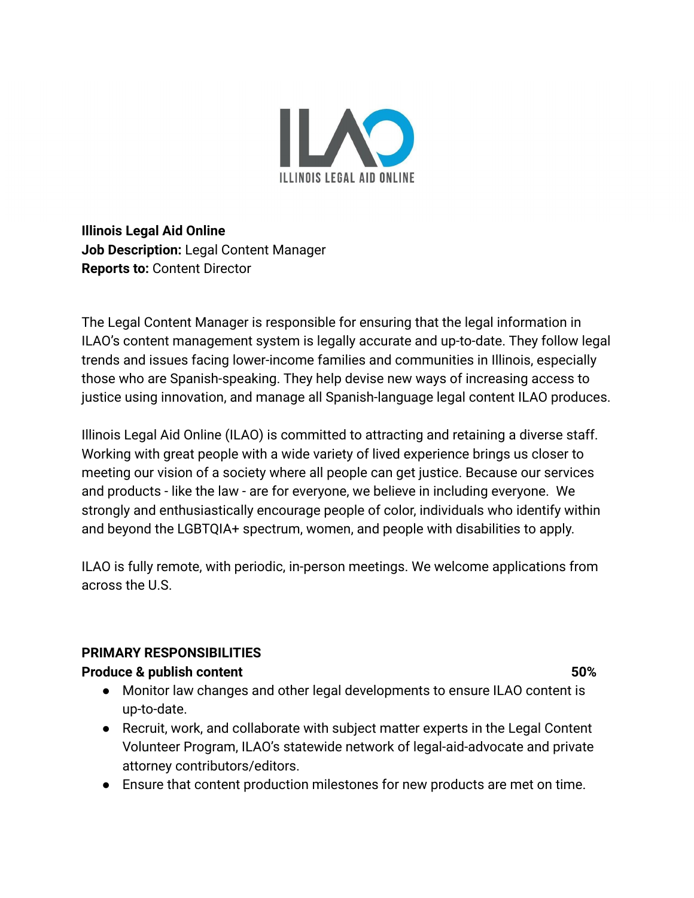

**Illinois Legal Aid Online Job Description:** Legal Content Manager **Reports to:** Content Director

The Legal Content Manager is responsible for ensuring that the legal information in ILAO's content management system is legally accurate and up-to-date. They follow legal trends and issues facing lower-income families and communities in Illinois, especially those who are Spanish-speaking. They help devise new ways of increasing access to justice using innovation, and manage all Spanish-language legal content ILAO produces.

Illinois Legal Aid Online (ILAO) is committed to attracting and retaining a diverse staff. Working with great people with a wide variety of lived experience brings us closer to meeting our vision of a society where all people can get justice. Because our services and products - like the law - are for everyone, we believe in including everyone. We strongly and enthusiastically encourage people of color, individuals who identify within and beyond the LGBTQIA+ spectrum, women, and people with disabilities to apply.

ILAO is fully remote, with periodic, in-person meetings. We welcome applications from across the U.S.

#### **PRIMARY RESPONSIBILITIES**

#### **Produce & publish content 50%**

- Monitor law changes and other legal developments to ensure ILAO content is up-to-date.
- Recruit, work, and collaborate with subject matter experts in the Legal Content Volunteer Program, ILAO's statewide network of legal-aid-advocate and private attorney contributors/editors.
- Ensure that content production milestones for new products are met on time.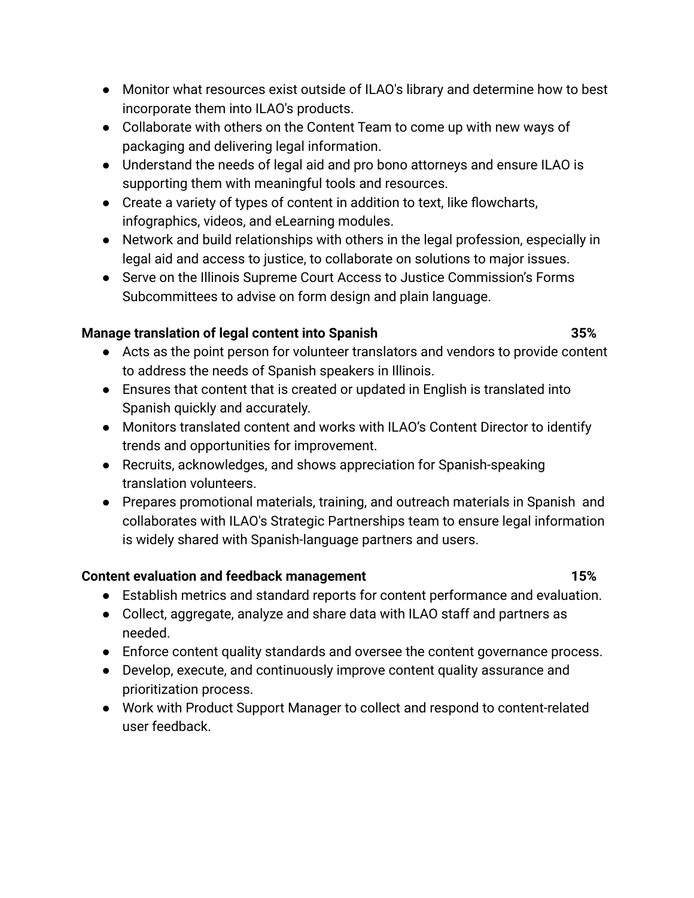- Monitor what resources exist outside of ILAO's library and determine how to best incorporate them into ILAO's products.
- Collaborate with others on the Content Team to come up with new ways of packaging and delivering legal information.
- Understand the needs of legal aid and pro bono attorneys and ensure ILAO is supporting them with meaningful tools and resources.
- Create a variety of types of content in addition to text, like flowcharts, infographics, videos, and eLearning modules.
- Network and build relationships with others in the legal profession, especially in legal aid and access to justice, to collaborate on solutions to major issues.
- Serve on the Illinois Supreme Court Access to Justice Commission's Forms Subcommittees to advise on form design and plain language.

# **Manage translation of legal content into Spanish 35%**

- Acts as the point person for volunteer translators and vendors to provide content to address the needs of Spanish speakers in Illinois.
- Ensures that content that is created or updated in English is translated into Spanish quickly and accurately.
- Monitors translated content and works with ILAO's Content Director to identify trends and opportunities for improvement.
- Recruits, acknowledges, and shows appreciation for Spanish-speaking translation volunteers.
- Prepares promotional materials, training, and outreach materials in Spanish and collaborates with ILAO's Strategic Partnerships team to ensure legal information is widely shared with Spanish-language partners and users.

## **Content evaluation and feedback management 15%**

- Establish metrics and standard reports for content performance and evaluation.
- Collect, aggregate, analyze and share data with ILAO staff and partners as needed.
- Enforce content quality standards and oversee the content governance process.
- Develop, execute, and continuously improve content quality assurance and prioritization process.
- Work with Product Support Manager to collect and respond to content-related user feedback.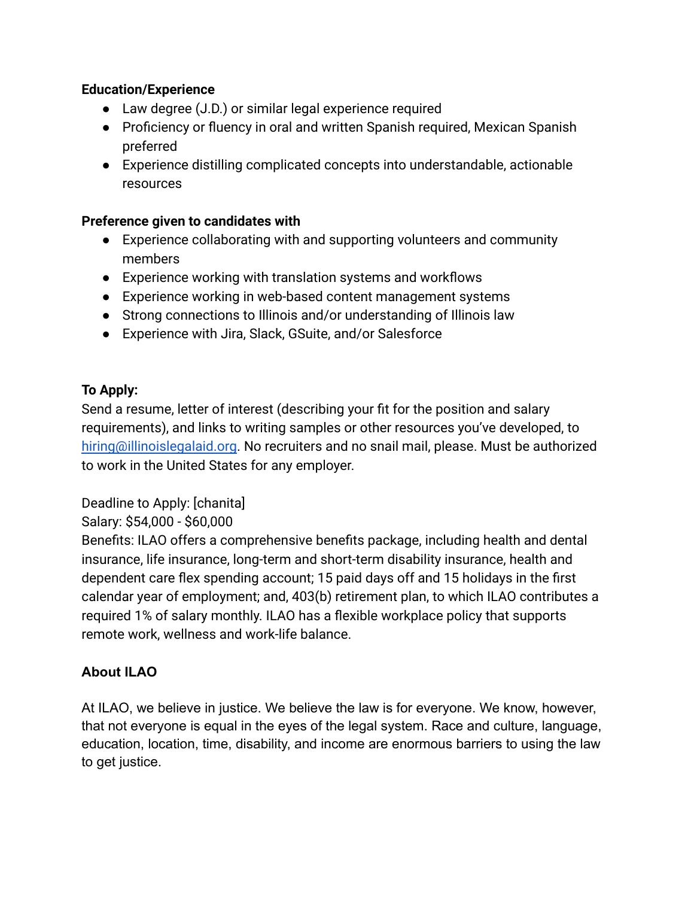#### **Education/Experience**

- Law degree (J.D.) or similar legal experience required
- Proficiency or fluency in oral and written Spanish required, Mexican Spanish preferred
- Experience distilling complicated concepts into understandable, actionable resources

### **Preference given to candidates with**

- Experience collaborating with and supporting volunteers and community members
- Experience working with translation systems and workflows
- Experience working in web-based content management systems
- Strong connections to Illinois and/or understanding of Illinois law
- Experience with Jira, Slack, GSuite, and/or Salesforce

## **To Apply:**

Send a resume, letter of interest (describing your fit for the position and salary requirements), and links to writing samples or other resources you've developed, to [hiring@illinoislegalaid.org](mailto:hiring@illinioslegalaid.org). No recruiters and no snail mail, please. Must be authorized to work in the United States for any employer.

## Deadline to Apply: [chanita]

Salary: \$54,000 - \$60,000

Benefits: ILAO offers a comprehensive benefits package, including health and dental insurance, life insurance, long-term and short-term disability insurance, health and dependent care flex spending account; 15 paid days off and 15 holidays in the first calendar year of employment; and, 403(b) retirement plan, to which ILAO contributes a required 1% of salary monthly. ILAO has a flexible workplace policy that supports remote work, wellness and work-life balance.

## **About ILAO**

At ILAO, we believe in justice. We believe the law is for everyone. We know, however, that not everyone is equal in the eyes of the legal system. Race and culture, language, education, location, time, disability, and income are enormous barriers to using the law to get justice.